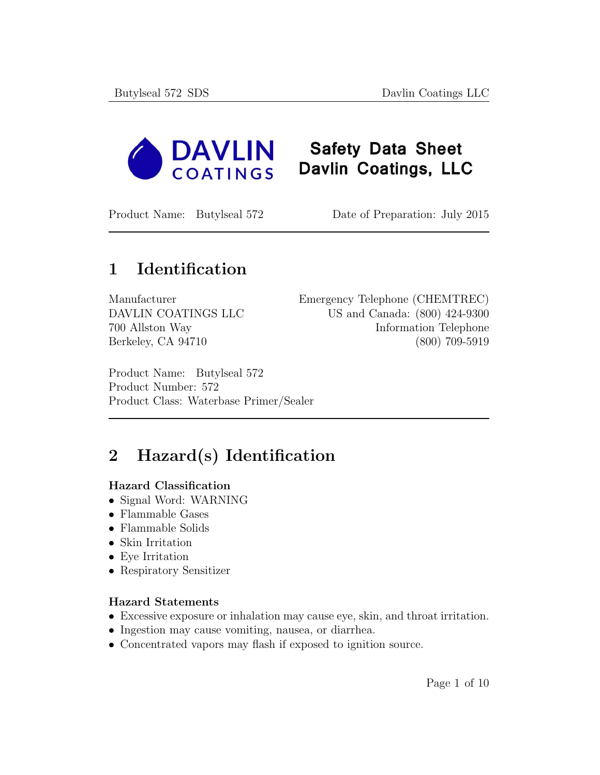

# **Safety Data Sheet** Davlin Coatings, LLC

Product Name: Butylseal 572 Date of Preparation: July 2015

## 1 Identification

Manufacturer Emergency Telephone (CHEMTREC) DAVLIN COATINGS LLC US and Canada: (800) 424-9300 700 Allston Way Information Telephone Berkeley, CA 94710 (800) 709-5919

Product Name: Butylseal 572 Product Number: 572 Product Class: Waterbase Primer/Sealer

# 2 Hazard(s) Identification

#### Hazard Classification

- Signal Word: WARNING
- Flammable Gases
- Flammable Solids
- Skin Irritation
- Eye Irritation
- Respiratory Sensitizer

#### Hazard Statements

- Excessive exposure or inhalation may cause eye, skin, and throat irritation.
- Ingestion may cause vomiting, nausea, or diarrhea.
- Concentrated vapors may flash if exposed to ignition source.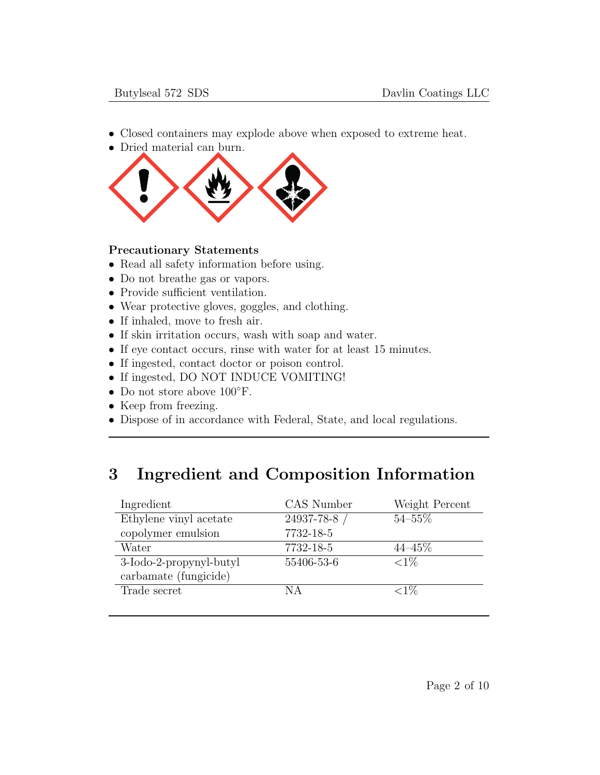- Closed containers may explode above when exposed to extreme heat.
- Dried material can burn.



#### Precautionary Statements

- Read all safety information before using.
- Do not breathe gas or vapors.
- Provide sufficient ventilation.
- Wear protective gloves, goggles, and clothing.
- If inhaled, move to fresh air.
- If skin irritation occurs, wash with soap and water.
- If eye contact occurs, rinse with water for at least 15 minutes.
- If ingested, contact doctor or poison control.
- If ingested, DO NOT INDUCE VOMITING!
- Do not store above 100◦F.
- Keep from freezing.
- Dispose of in accordance with Federal, State, and local regulations.

## 3 Ingredient and Composition Information

| Ingredient              | CAS Number   | Weight Percent |
|-------------------------|--------------|----------------|
| Ethylene vinyl acetate  | 24937-78-8 / | $54 - 55\%$    |
| copolymer emulsion      | 7732-18-5    |                |
| Water                   | 7732-18-5    | $44 - 45\%$    |
| 3-Iodo-2-propynyl-butyl | 55406-53-6   | ${<}1\%$       |
| carbamate (fungicide)   |              |                |
| Trade secret            | ΝA           | ${<}1\%$       |
|                         |              |                |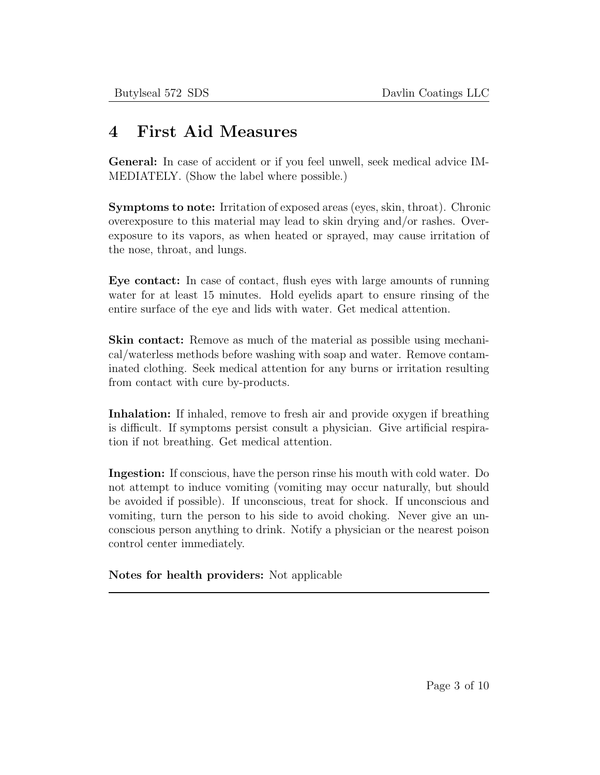### 4 First Aid Measures

General: In case of accident or if you feel unwell, seek medical advice IM-MEDIATELY. (Show the label where possible.)

Symptoms to note: Irritation of exposed areas (eyes, skin, throat). Chronic overexposure to this material may lead to skin drying and/or rashes. Overexposure to its vapors, as when heated or sprayed, may cause irritation of the nose, throat, and lungs.

Eye contact: In case of contact, flush eyes with large amounts of running water for at least 15 minutes. Hold eyelids apart to ensure rinsing of the entire surface of the eye and lids with water. Get medical attention.

Skin contact: Remove as much of the material as possible using mechanical/waterless methods before washing with soap and water. Remove contaminated clothing. Seek medical attention for any burns or irritation resulting from contact with cure by-products.

Inhalation: If inhaled, remove to fresh air and provide oxygen if breathing is difficult. If symptoms persist consult a physician. Give artificial respiration if not breathing. Get medical attention.

Ingestion: If conscious, have the person rinse his mouth with cold water. Do not attempt to induce vomiting (vomiting may occur naturally, but should be avoided if possible). If unconscious, treat for shock. If unconscious and vomiting, turn the person to his side to avoid choking. Never give an unconscious person anything to drink. Notify a physician or the nearest poison control center immediately.

Notes for health providers: Not applicable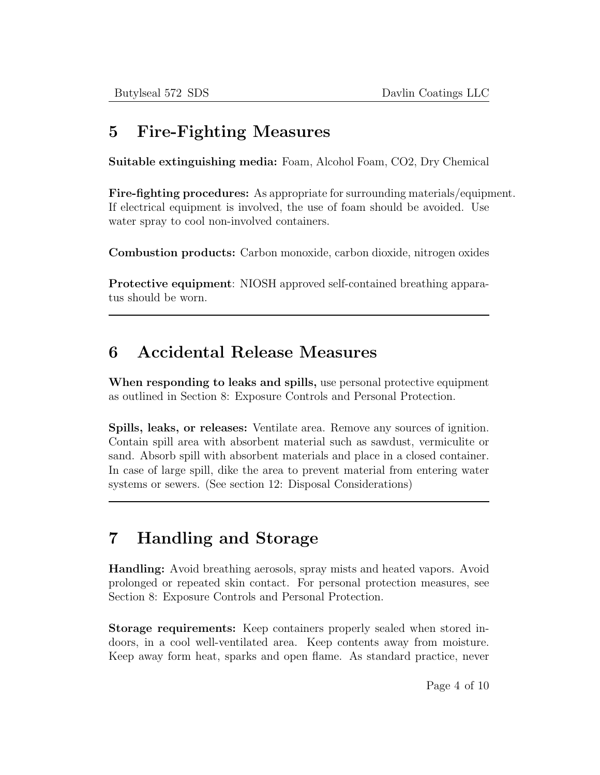## 5 Fire-Fighting Measures

Suitable extinguishing media: Foam, Alcohol Foam, CO2, Dry Chemical

Fire-fighting procedures: As appropriate for surrounding materials/equipment. If electrical equipment is involved, the use of foam should be avoided. Use water spray to cool non-involved containers.

Combustion products: Carbon monoxide, carbon dioxide, nitrogen oxides

Protective equipment: NIOSH approved self-contained breathing apparatus should be worn.

## 6 Accidental Release Measures

When responding to leaks and spills, use personal protective equipment as outlined in Section 8: Exposure Controls and Personal Protection.

Spills, leaks, or releases: Ventilate area. Remove any sources of ignition. Contain spill area with absorbent material such as sawdust, vermiculite or sand. Absorb spill with absorbent materials and place in a closed container. In case of large spill, dike the area to prevent material from entering water systems or sewers. (See section 12: Disposal Considerations)

## 7 Handling and Storage

Handling: Avoid breathing aerosols, spray mists and heated vapors. Avoid prolonged or repeated skin contact. For personal protection measures, see Section 8: Exposure Controls and Personal Protection.

Storage requirements: Keep containers properly sealed when stored indoors, in a cool well-ventilated area. Keep contents away from moisture. Keep away form heat, sparks and open flame. As standard practice, never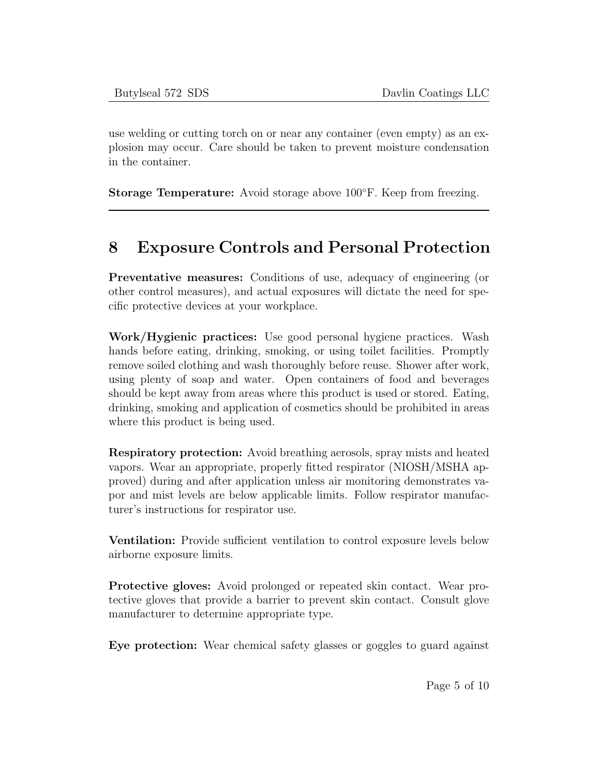use welding or cutting torch on or near any container (even empty) as an explosion may occur. Care should be taken to prevent moisture condensation in the container.

Storage Temperature: Avoid storage above 100◦F. Keep from freezing.

## 8 Exposure Controls and Personal Protection

Preventative measures: Conditions of use, adequacy of engineering (or other control measures), and actual exposures will dictate the need for specific protective devices at your workplace.

Work/Hygienic practices: Use good personal hygiene practices. Wash hands before eating, drinking, smoking, or using toilet facilities. Promptly remove soiled clothing and wash thoroughly before reuse. Shower after work, using plenty of soap and water. Open containers of food and beverages should be kept away from areas where this product is used or stored. Eating, drinking, smoking and application of cosmetics should be prohibited in areas where this product is being used.

Respiratory protection: Avoid breathing aerosols, spray mists and heated vapors. Wear an appropriate, properly fitted respirator (NIOSH/MSHA approved) during and after application unless air monitoring demonstrates vapor and mist levels are below applicable limits. Follow respirator manufacturer's instructions for respirator use.

Ventilation: Provide sufficient ventilation to control exposure levels below airborne exposure limits.

Protective gloves: Avoid prolonged or repeated skin contact. Wear protective gloves that provide a barrier to prevent skin contact. Consult glove manufacturer to determine appropriate type.

Eye protection: Wear chemical safety glasses or goggles to guard against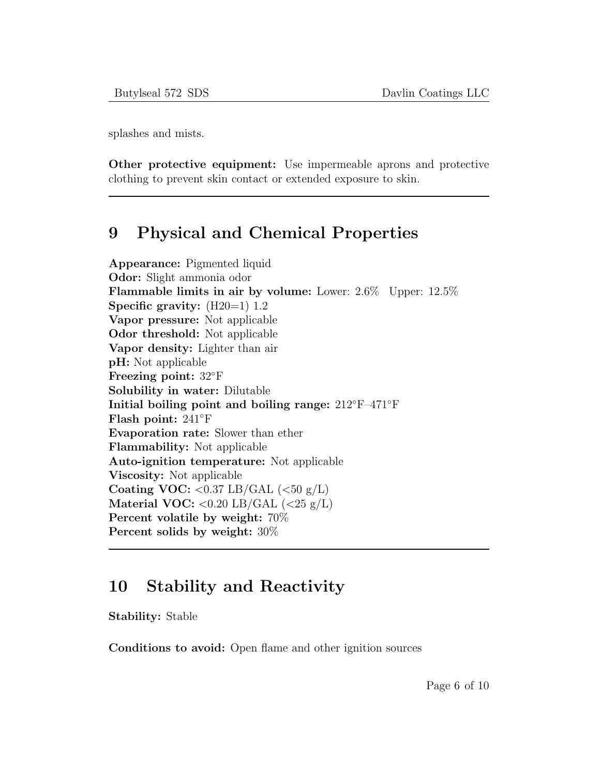splashes and mists.

Other protective equipment: Use impermeable aprons and protective clothing to prevent skin contact or extended exposure to skin.

#### 9 Physical and Chemical Properties

Appearance: Pigmented liquid Odor: Slight ammonia odor Flammable limits in air by volume: Lower: 2.6% Upper: 12.5% Specific gravity:  $(H20=1)$  1.2 Vapor pressure: Not applicable Odor threshold: Not applicable Vapor density: Lighter than air pH: Not applicable Freezing point: 32◦F Solubility in water: Dilutable Initial boiling point and boiling range: 212◦F–471◦F Flash point: 241◦F Evaporation rate: Slower than ether Flammability: Not applicable Auto-ignition temperature: Not applicable Viscosity: Not applicable Coating VOC:  $\langle 0.37 \text{ LB/GAL } (\langle 50 \text{ g/L} \rangle)$ Material VOC:  $< 0.20$  LB/GAL  $(< 25 \text{ g/L})$ Percent volatile by weight: 70% Percent solids by weight: 30%

#### 10 Stability and Reactivity

Stability: Stable

Conditions to avoid: Open flame and other ignition sources

Page 6 of 10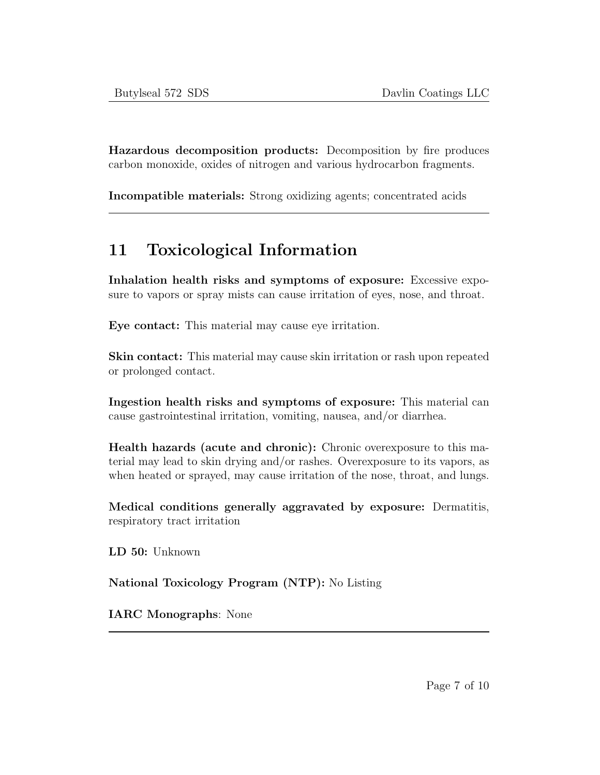Hazardous decomposition products: Decomposition by fire produces carbon monoxide, oxides of nitrogen and various hydrocarbon fragments.

Incompatible materials: Strong oxidizing agents; concentrated acids

## 11 Toxicological Information

Inhalation health risks and symptoms of exposure: Excessive exposure to vapors or spray mists can cause irritation of eyes, nose, and throat.

Eye contact: This material may cause eye irritation.

Skin contact: This material may cause skin irritation or rash upon repeated or prolonged contact.

Ingestion health risks and symptoms of exposure: This material can cause gastrointestinal irritation, vomiting, nausea, and/or diarrhea.

Health hazards (acute and chronic): Chronic overexposure to this material may lead to skin drying and/or rashes. Overexposure to its vapors, as when heated or sprayed, may cause irritation of the nose, throat, and lungs.

Medical conditions generally aggravated by exposure: Dermatitis, respiratory tract irritation

LD 50: Unknown

National Toxicology Program (NTP): No Listing

IARC Monographs: None

Page 7 of 10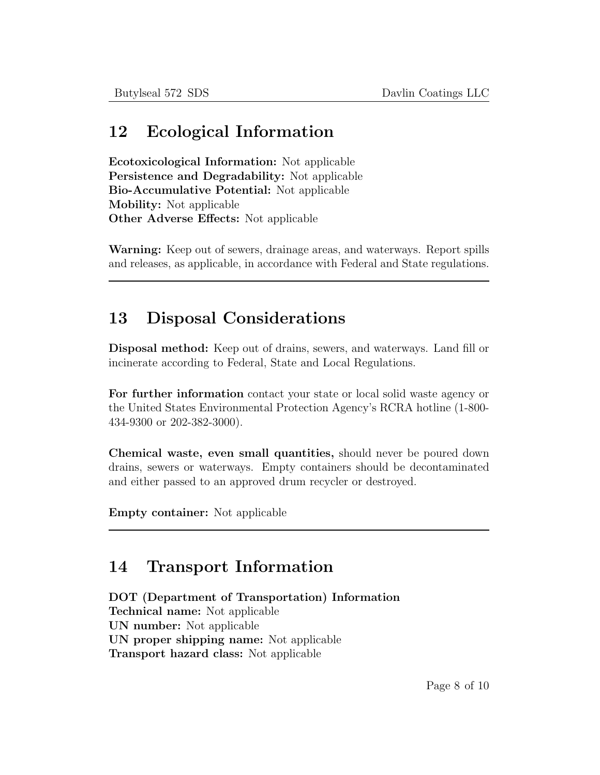#### 12 Ecological Information

Ecotoxicological Information: Not applicable Persistence and Degradability: Not applicable Bio-Accumulative Potential: Not applicable Mobility: Not applicable Other Adverse Effects: Not applicable

Warning: Keep out of sewers, drainage areas, and waterways. Report spills and releases, as applicable, in accordance with Federal and State regulations.

### 13 Disposal Considerations

Disposal method: Keep out of drains, sewers, and waterways. Land fill or incinerate according to Federal, State and Local Regulations.

For further information contact your state or local solid waste agency or the United States Environmental Protection Agency's RCRA hotline (1-800- 434-9300 or 202-382-3000).

Chemical waste, even small quantities, should never be poured down drains, sewers or waterways. Empty containers should be decontaminated and either passed to an approved drum recycler or destroyed.

Empty container: Not applicable

#### 14 Transport Information

DOT (Department of Transportation) Information Technical name: Not applicable UN number: Not applicable UN proper shipping name: Not applicable Transport hazard class: Not applicable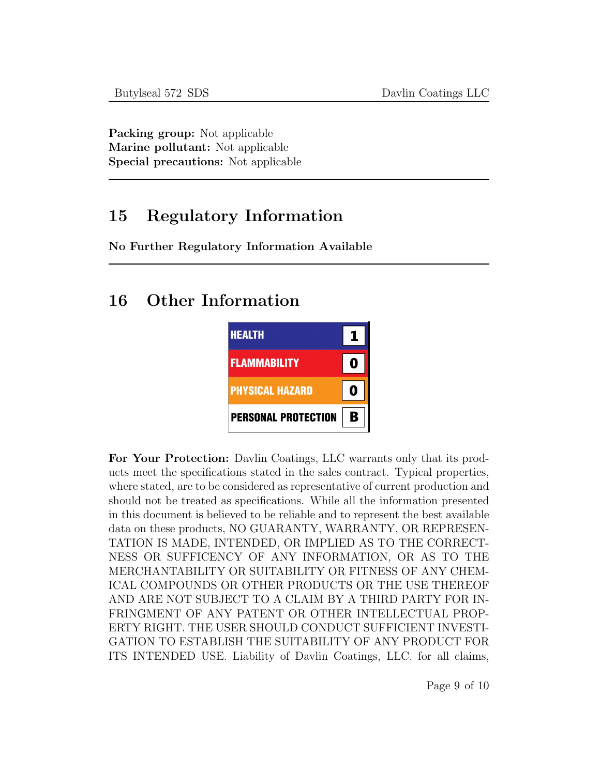Packing group: Not applicable Marine pollutant: Not applicable Special precautions: Not applicable

### 15 Regulatory Information

No Further Regulatory Information Available

### 16 Other Information



For Your Protection: Davlin Coatings, LLC warrants only that its products meet the specifications stated in the sales contract. Typical properties, where stated, are to be considered as representative of current production and should not be treated as specifications. While all the information presented in this document is believed to be reliable and to represent the best available data on these products, NO GUARANTY, WARRANTY, OR REPRESEN-TATION IS MADE, INTENDED, OR IMPLIED AS TO THE CORRECT-NESS OR SUFFICENCY OF ANY INFORMATION, OR AS TO THE MERCHANTABILITY OR SUITABILITY OR FITNESS OF ANY CHEM-ICAL COMPOUNDS OR OTHER PRODUCTS OR THE USE THEREOF AND ARE NOT SUBJECT TO A CLAIM BY A THIRD PARTY FOR IN-FRINGMENT OF ANY PATENT OR OTHER INTELLECTUAL PROP-ERTY RIGHT. THE USER SHOULD CONDUCT SUFFICIENT INVESTI-GATION TO ESTABLISH THE SUITABILITY OF ANY PRODUCT FOR ITS INTENDED USE. Liability of Davlin Coatings, LLC. for all claims,

Page 9 of 10